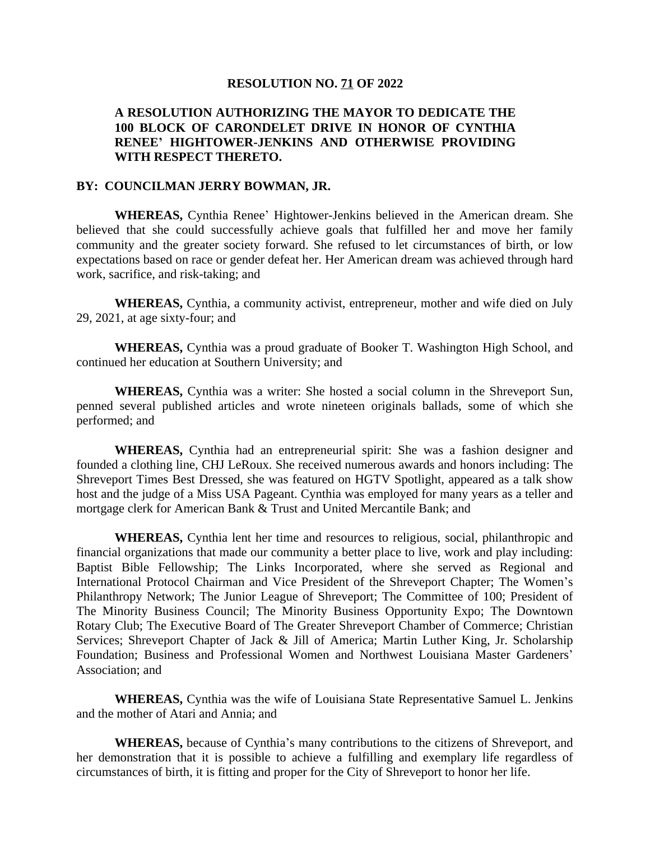## **RESOLUTION NO. 71 OF 2022**

## **A RESOLUTION AUTHORIZING THE MAYOR TO DEDICATE THE 100 BLOCK OF CARONDELET DRIVE IN HONOR OF CYNTHIA RENEE' HIGHTOWER-JENKINS AND OTHERWISE PROVIDING WITH RESPECT THERETO.**

## **BY: COUNCILMAN JERRY BOWMAN, JR.**

**WHEREAS,** Cynthia Renee' Hightower-Jenkins believed in the American dream. She believed that she could successfully achieve goals that fulfilled her and move her family community and the greater society forward. She refused to let circumstances of birth, or low expectations based on race or gender defeat her. Her American dream was achieved through hard work, sacrifice, and risk-taking; and

**WHEREAS,** Cynthia, a community activist, entrepreneur, mother and wife died on July 29, 2021, at age sixty-four; and

**WHEREAS,** Cynthia was a proud graduate of Booker T. Washington High School, and continued her education at Southern University; and

**WHEREAS,** Cynthia was a writer: She hosted a social column in the Shreveport Sun, penned several published articles and wrote nineteen originals ballads, some of which she performed; and

**WHEREAS,** Cynthia had an entrepreneurial spirit: She was a fashion designer and founded a clothing line, CHJ LeRoux. She received numerous awards and honors including: The Shreveport Times Best Dressed, she was featured on HGTV Spotlight, appeared as a talk show host and the judge of a Miss USA Pageant. Cynthia was employed for many years as a teller and mortgage clerk for American Bank & Trust and United Mercantile Bank; and

**WHEREAS,** Cynthia lent her time and resources to religious, social, philanthropic and financial organizations that made our community a better place to live, work and play including: Baptist Bible Fellowship; The Links Incorporated, where she served as Regional and International Protocol Chairman and Vice President of the Shreveport Chapter; The Women's Philanthropy Network; The Junior League of Shreveport; The Committee of 100; President of The Minority Business Council; The Minority Business Opportunity Expo; The Downtown Rotary Club; The Executive Board of The Greater Shreveport Chamber of Commerce; Christian Services; Shreveport Chapter of Jack & Jill of America; Martin Luther King, Jr. Scholarship Foundation; Business and Professional Women and Northwest Louisiana Master Gardeners' Association; and

**WHEREAS,** Cynthia was the wife of Louisiana State Representative Samuel L. Jenkins and the mother of Atari and Annia; and

**WHEREAS,** because of Cynthia's many contributions to the citizens of Shreveport, and her demonstration that it is possible to achieve a fulfilling and exemplary life regardless of circumstances of birth, it is fitting and proper for the City of Shreveport to honor her life.